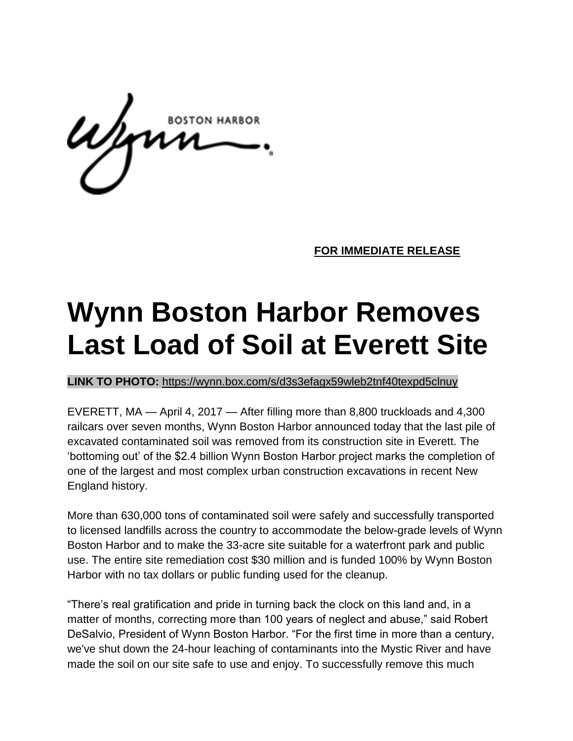**FOR IMMEDIATE RELEASE** 

## **Wynn Boston Harbor Removes Last Load of Soil at Everett Site**

**LINK TO PHOTO:** <https://wynn.box.com/s/d3s3efagx59wleb2tnf40texpd5clnuy>

EVERETT, MA — April 4, 2017 — After filling more than 8,800 truckloads and 4,300 railcars over seven months, Wynn Boston Harbor announced today that the last pile of excavated contaminated soil was removed from its construction site in Everett. The 'bottoming out' of the \$2.4 billion Wynn Boston Harbor project marks the completion of one of the largest and most complex urban construction excavations in recent New England history.

More than 630,000 tons of contaminated soil were safely and successfully transported to licensed landfills across the country to accommodate the below-grade levels of Wynn Boston Harbor and to make the 33-acre site suitable for a waterfront park and public use. The entire site remediation cost \$30 million and is funded 100% by Wynn Boston Harbor with no tax dollars or public funding used for the cleanup.

"There's real gratification and pride in turning back the clock on this land and, in a matter of months, correcting more than 100 years of neglect and abuse," said Robert DeSalvio, President of Wynn Boston Harbor. "For the first time in more than a century, we've shut down the 24-hour leaching of contaminants into the Mystic River and have made the soil on our site safe to use and enjoy. To successfully remove this much